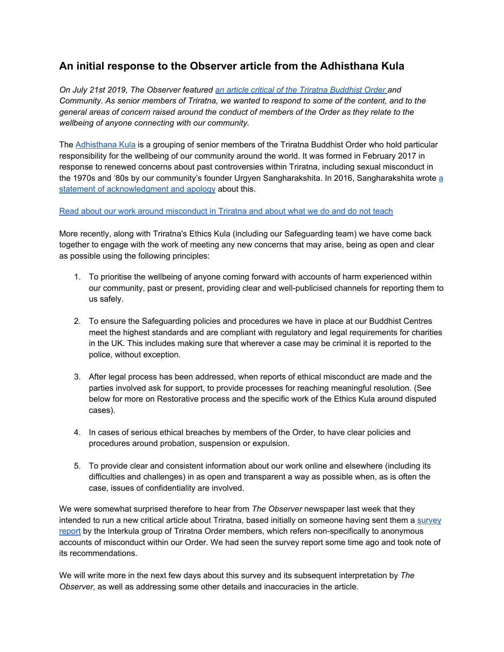# **An initial response to the Observer article from the Adhisthana Kula**

*On July 21st 2019, The Observer featured an article critical of the Triratna [Buddhist](https://www.theguardian.com/world/2019/jul/21/sangharakshita-guru-triratna-buddhist-dark-secrets) Order and Community. As senior members of Triratna, we wanted to respond to some of the content, and to the general areas of concern raised around the conduct of members of the Order as they relate to the wellbeing of anyone connecting with our community.*

The [Adhisthana](https://thebuddhistcentre.com/adhisthana-kula) Kula is a grouping of senior members of the Triratna Buddhist Order who hold particular responsibility for the wellbeing of our community around the world. It was formed in February 2017 in response to renewed concerns about past controversies within Triratna, including sexual misconduct in the 1970s and '80s by our community's founder Urgyen Sangharakshita. In 2016, Sangharakshita wrote [a](http://www.sangharakshita.org/personal-statement.html) statement of [acknowledgment](http://www.sangharakshita.org/personal-statement.html) and apology about this.

### Read about our work around [misconduct](https://thebuddhistcentre.com/adhisthana-kula/introducing-adhisthana-kula) in Triratna and about what we do and do not teach

More recently, along with Triratna's Ethics Kula (including our Safeguarding team) we have come back together to engage with the work of meeting any new concerns that may arise, being as open and clear as possible using the following principles:

- 1. To prioritise the wellbeing of anyone coming forward with accounts of harm experienced within our community, past or present, providing clear and well-publicised channels for reporting them to us safely.
- 2. To ensure the Safeguarding policies and procedures we have in place at our Buddhist Centres meet the highest standards and are compliant with regulatory and legal requirements for charities in the UK. This includes making sure that wherever a case may be criminal it is reported to the police, without exception.
- 3. After legal process has been addressed, when reports of ethical misconduct are made and the parties involved ask for support, to provide processes for reaching meaningful resolution. (See below for more on Restorative process and the specific work of the Ethics Kula around disputed cases).
- 4. In cases of serious ethical breaches by members of the Order, to have clear policies and procedures around probation, suspension or expulsion.
- 5. To provide clear and consistent information about our work online and elsewhere (including its difficulties and challenges) in as open and transparent a way as possible when, as is often the case, issues of confidentiality are involved.

We were somewhat surprised therefore to hear from *The Observer* newspaper last week that they intended to run a new critical article about Triratna, based initially on someone having sent them a [survey](https://alaya.thebuddhistcentre.com/index.php/s/zFxxLIUw181bj4D) [report](https://alaya.thebuddhistcentre.com/index.php/s/zFxxLIUw181bj4D) by the Interkula group of Triratna Order members, which refers non-specifically to anonymous accounts of misconduct within our Order. We had seen the survey report some time ago and took note of its recommendations.

We will write more in the next few days about this survey and its subsequent interpretation by *The Observer*, as well as addressing some other details and inaccuracies in the article.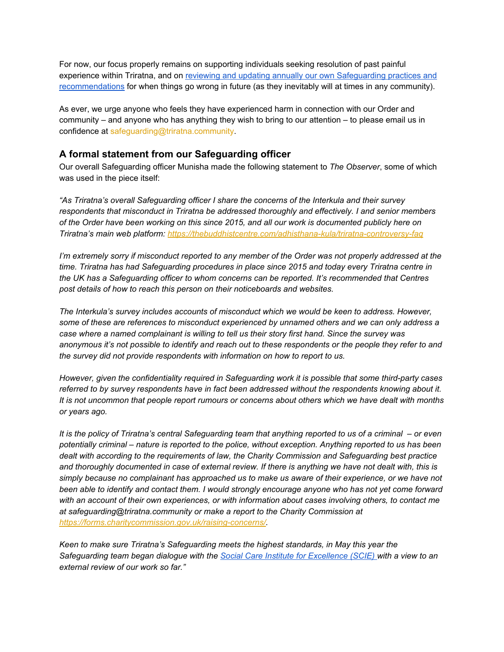For now, our focus properly remains on supporting individuals seeking resolution of past painful experience within Triratna, and on reviewing and updating annually our own [Safeguarding](https://thebuddhistcentre.com/news/triratna-model-safeguarding-policies-and-ethical-guidelines-2019) practices and [recommendations](https://thebuddhistcentre.com/news/triratna-model-safeguarding-policies-and-ethical-guidelines-2019) for when things go wrong in future (as they inevitably will at times in any community).

As ever, we urge anyone who feels they have experienced harm in connection with our Order and community – and anyone who has anything they wish to bring to our attention – to please email us in confidence at safeguarding@triratna.community.

# **A formal statement from our Safeguarding officer**

Our overall Safeguarding officer Munisha made the following statement to *The Observer*, some of which was used in the piece itself:

*"As Triratna's overall Safeguarding officer I share the concerns of the Interkula and their survey respondents that misconduct in Triratna be addressed thoroughly and effectively. I and senior members* of the Order have been working on this since 2015, and all our work is documented publicly here on *Triratna's main web platform: <https://thebuddhistcentre.com/adhisthana-kula/triratna-controversy-faq>*

I'm extremely sorry if misconduct reported to any member of the Order was not properly addressed at the *time. Triratna has had Safeguarding procedures in place since 2015 and today every Triratna centre in the UK has a Safeguarding officer to whom concerns can be reported. It's recommended that Centres post details of how to reach this person on their noticeboards and websites.*

*The Interkula's survey includes accounts of misconduct which we would be keen to address. However, some of these are references to misconduct experienced by unnamed others and we can only address a case where a named complainant is willing to tell us their story first hand. Since the survey was* anonymous it's not possible to identify and reach out to these respondents or the people they refer to and *the survey did not provide respondents with information on how to report to us.*

*However, given the confidentiality required in Safeguarding work it is possible that some third-party cases referred to by survey respondents have in fact been addressed without the respondents knowing about it.* It is not uncommon that people report rumours or concerns about others which we have dealt with months *or years ago.*

It is the policy of Triratna's central Safeguarding team that anything reported to us of a criminal – or even potentially criminal – nature is reported to the police, without exception. Anything reported to us has been *dealt with according to the requirements of law, the Charity Commission and Safeguarding best practice* and thoroughly documented in case of external review. If there is anything we have not dealt with, this is simply because no complainant has approached us to make us aware of their experience, or we have not been able to identify and contact them. I would strongly encourage anyone who has not yet come forward *with an account of their own experiences, or with information about cases involving others, to contact me at safeguarding@triratna.community or make a report to the Charity Commission at <https://forms.charitycommission.gov.uk/raising-concerns/>.*

*Keen to make sure Triratna's Safeguarding meets the highest standards, in May this year the Safeguarding team began dialogue with the Social Care Institute for [Excellence](https://www.scie.org.uk/) (SCIE) with a view to an external review of our work so far."*